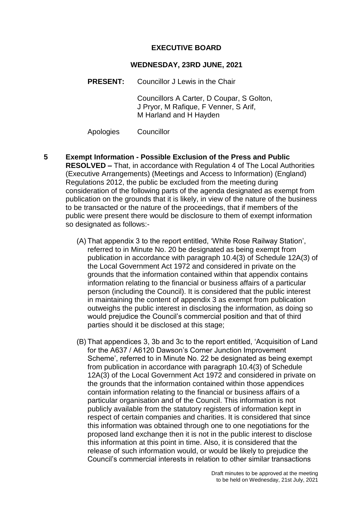### **EXECUTIVE BOARD**

#### **WEDNESDAY, 23RD JUNE, 2021**

**PRESENT:** Councillor J Lewis in the Chair

Councillors A Carter, D Coupar, S Golton, J Pryor, M Rafique, F Venner, S Arif, M Harland and H Hayden

Apologies Councillor

- **5 Exempt Information - Possible Exclusion of the Press and Public RESOLVED –** That, in accordance with Regulation 4 of The Local Authorities (Executive Arrangements) (Meetings and Access to Information) (England) Regulations 2012, the public be excluded from the meeting during consideration of the following parts of the agenda designated as exempt from publication on the grounds that it is likely, in view of the nature of the business to be transacted or the nature of the proceedings, that if members of the public were present there would be disclosure to them of exempt information so designated as follows:-
	- (A) That appendix 3 to the report entitled, 'White Rose Railway Station', referred to in Minute No. 20 be designated as being exempt from publication in accordance with paragraph 10.4(3) of Schedule 12A(3) of the Local Government Act 1972 and considered in private on the grounds that the information contained within that appendix contains information relating to the financial or business affairs of a particular person (including the Council). It is considered that the public interest in maintaining the content of appendix 3 as exempt from publication outweighs the public interest in disclosing the information, as doing so would prejudice the Council's commercial position and that of third parties should it be disclosed at this stage;
	- (B) That appendices 3, 3b and 3c to the report entitled, 'Acquisition of Land for the A637 / A6120 Dawson's Corner Junction Improvement Scheme', referred to in Minute No. 22 be designated as being exempt from publication in accordance with paragraph 10.4(3) of Schedule 12A(3) of the Local Government Act 1972 and considered in private on the grounds that the information contained within those appendices contain information relating to the financial or business affairs of a particular organisation and of the Council. This information is not publicly available from the statutory registers of information kept in respect of certain companies and charities. It is considered that since this information was obtained through one to one negotiations for the proposed land exchange then it is not in the public interest to disclose this information at this point in time. Also, it is considered that the release of such information would, or would be likely to prejudice the Council's commercial interests in relation to other similar transactions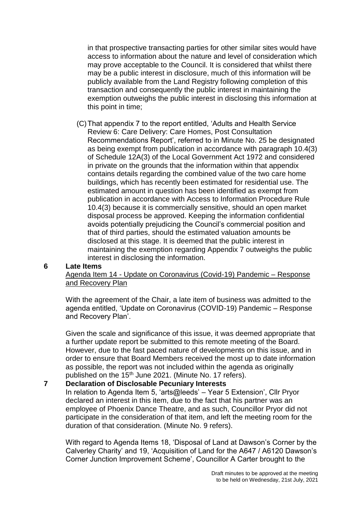in that prospective transacting parties for other similar sites would have access to information about the nature and level of consideration which may prove acceptable to the Council. It is considered that whilst there may be a public interest in disclosure, much of this information will be publicly available from the Land Registry following completion of this transaction and consequently the public interest in maintaining the exemption outweighs the public interest in disclosing this information at this point in time;

(C)That appendix 7 to the report entitled, 'Adults and Health Service Review 6: Care Delivery: Care Homes, Post Consultation Recommendations Report', referred to in Minute No. 25 be designated as being exempt from publication in accordance with paragraph 10.4(3) of Schedule 12A(3) of the Local Government Act 1972 and considered in private on the grounds that the information within that appendix contains details regarding the combined value of the two care home buildings, which has recently been estimated for residential use. The estimated amount in question has been identified as exempt from publication in accordance with Access to Information Procedure Rule 10.4(3) because it is commercially sensitive, should an open market disposal process be approved. Keeping the information confidential avoids potentially prejudicing the Council's commercial position and that of third parties, should the estimated valuation amounts be disclosed at this stage. It is deemed that the public interest in maintaining the exemption regarding Appendix 7 outweighs the public interest in disclosing the information.

#### **6 Late Items**

Agenda Item 14 - Update on Coronavirus (Covid-19) Pandemic – Response and Recovery Plan

With the agreement of the Chair, a late item of business was admitted to the agenda entitled, 'Update on Coronavirus (COVID-19) Pandemic – Response and Recovery Plan'.

Given the scale and significance of this issue, it was deemed appropriate that a further update report be submitted to this remote meeting of the Board. However, due to the fast paced nature of developments on this issue, and in order to ensure that Board Members received the most up to date information as possible, the report was not included within the agenda as originally published on the 15<sup>th</sup> June 2021. (Minute No. 17 refers).

# **7 Declaration of Disclosable Pecuniary Interests**

In relation to Agenda Item 5, 'arts@leeds' – Year 5 Extension', Cllr Pryor declared an interest in this item, due to the fact that his partner was an employee of Phoenix Dance Theatre, and as such, Councillor Pryor did not participate in the consideration of that item, and left the meeting room for the duration of that consideration. (Minute No. 9 refers).

With regard to Agenda Items 18, 'Disposal of Land at Dawson's Corner by the Calverley Charity' and 19, 'Acquisition of Land for the A647 / A6120 Dawson's Corner Junction Improvement Scheme', Councillor A Carter brought to the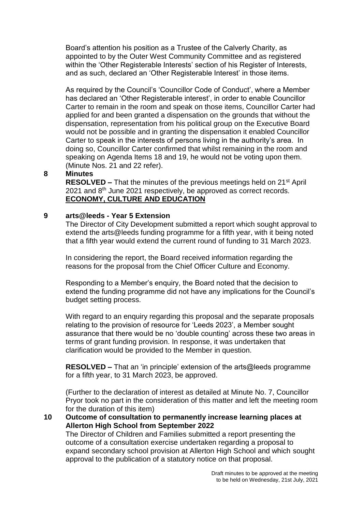Board's attention his position as a Trustee of the Calverly Charity, as appointed to by the Outer West Community Committee and as registered within the 'Other Registerable Interests' section of his Register of Interests, and as such, declared an 'Other Registerable Interest' in those items.

As required by the Council's 'Councillor Code of Conduct', where a Member has declared an 'Other Registerable interest', in order to enable Councillor Carter to remain in the room and speak on those items, Councillor Carter had applied for and been granted a dispensation on the grounds that without the dispensation, representation from his political group on the Executive Board would not be possible and in granting the dispensation it enabled Councillor Carter to speak in the interests of persons living in the authority's area. In doing so, Councillor Carter confirmed that whilst remaining in the room and speaking on Agenda Items 18 and 19, he would not be voting upon them. (Minute Nos. 21 and 22 refer).

#### **8 Minutes**

**RESOLVED –** That the minutes of the previous meetings held on 21<sup>st</sup> April 2021 and 8<sup>th</sup> June 2021 respectively, be approved as correct records. **ECONOMY, CULTURE AND EDUCATION**

#### **9 arts@leeds - Year 5 Extension**

The Director of City Development submitted a report which sought approval to extend the arts@leeds funding programme for a fifth year, with it being noted that a fifth year would extend the current round of funding to 31 March 2023.

In considering the report, the Board received information regarding the reasons for the proposal from the Chief Officer Culture and Economy.

Responding to a Member's enquiry, the Board noted that the decision to extend the funding programme did not have any implications for the Council's budget setting process.

With regard to an enquiry regarding this proposal and the separate proposals relating to the provision of resource for 'Leeds 2023', a Member sought assurance that there would be no 'double counting' across these two areas in terms of grant funding provision. In response, it was undertaken that clarification would be provided to the Member in question.

**RESOLVED –** That an 'in principle' extension of the arts@leeds programme for a fifth year, to 31 March 2023, be approved.

(Further to the declaration of interest as detailed at Minute No. 7, Councillor Pryor took no part in the consideration of this matter and left the meeting room for the duration of this item)

**10 Outcome of consultation to permanently increase learning places at Allerton High School from September 2022** The Director of Children and Families submitted a report presenting the outcome of a consultation exercise undertaken regarding a proposal to expand secondary school provision at Allerton High School and which sought approval to the publication of a statutory notice on that proposal.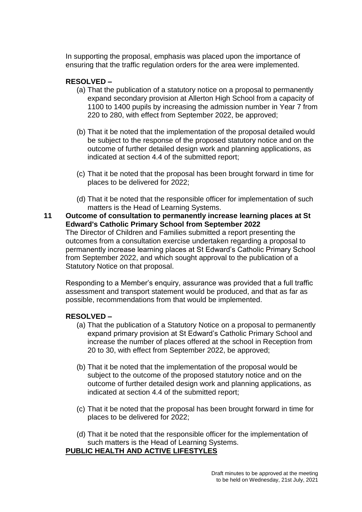In supporting the proposal, emphasis was placed upon the importance of ensuring that the traffic regulation orders for the area were implemented.

# **RESOLVED –**

- (a) That the publication of a statutory notice on a proposal to permanently expand secondary provision at Allerton High School from a capacity of 1100 to 1400 pupils by increasing the admission number in Year 7 from 220 to 280, with effect from September 2022, be approved;
- (b) That it be noted that the implementation of the proposal detailed would be subject to the response of the proposed statutory notice and on the outcome of further detailed design work and planning applications, as indicated at section 4.4 of the submitted report;
- (c) That it be noted that the proposal has been brought forward in time for places to be delivered for 2022;
- (d) That it be noted that the responsible officer for implementation of such matters is the Head of Learning Systems.
- **11 Outcome of consultation to permanently increase learning places at St Edward's Catholic Primary School from September 2022** The Director of Children and Families submitted a report presenting the outcomes from a consultation exercise undertaken regarding a proposal to permanently increase learning places at St Edward's Catholic Primary School

from September 2022, and which sought approval to the publication of a Statutory Notice on that proposal. Responding to a Member's enquiry, assurance was provided that a full traffic

assessment and transport statement would be produced, and that as far as possible, recommendations from that would be implemented.

# **RESOLVED –**

- (a) That the publication of a Statutory Notice on a proposal to permanently expand primary provision at St Edward's Catholic Primary School and increase the number of places offered at the school in Reception from 20 to 30, with effect from September 2022, be approved;
- (b) That it be noted that the implementation of the proposal would be subject to the outcome of the proposed statutory notice and on the outcome of further detailed design work and planning applications, as indicated at section 4.4 of the submitted report;
- (c) That it be noted that the proposal has been brought forward in time for places to be delivered for 2022;
- (d) That it be noted that the responsible officer for the implementation of such matters is the Head of Learning Systems.

# **PUBLIC HEALTH AND ACTIVE LIFESTYLES**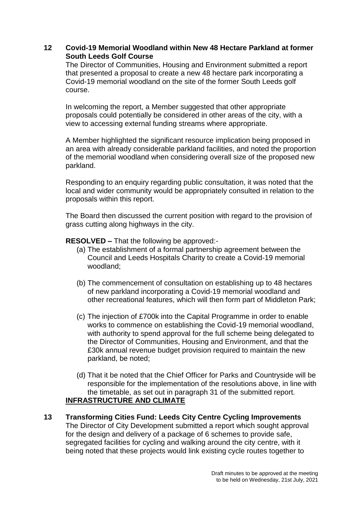## **12 Covid-19 Memorial Woodland within New 48 Hectare Parkland at former South Leeds Golf Course**

The Director of Communities, Housing and Environment submitted a report that presented a proposal to create a new 48 hectare park incorporating a Covid-19 memorial woodland on the site of the former South Leeds golf course.

In welcoming the report, a Member suggested that other appropriate proposals could potentially be considered in other areas of the city, with a view to accessing external funding streams where appropriate.

A Member highlighted the significant resource implication being proposed in an area with already considerable parkland facilities, and noted the proportion of the memorial woodland when considering overall size of the proposed new parkland.

Responding to an enquiry regarding public consultation, it was noted that the local and wider community would be appropriately consulted in relation to the proposals within this report.

The Board then discussed the current position with regard to the provision of grass cutting along highways in the city.

**RESOLVED –** That the following be approved:-

- (a) The establishment of a formal partnership agreement between the Council and Leeds Hospitals Charity to create a Covid-19 memorial woodland;
- (b) The commencement of consultation on establishing up to 48 hectares of new parkland incorporating a Covid-19 memorial woodland and other recreational features, which will then form part of Middleton Park;
- (c) The injection of £700k into the Capital Programme in order to enable works to commence on establishing the Covid-19 memorial woodland, with authority to spend approval for the full scheme being delegated to the Director of Communities, Housing and Environment, and that the £30k annual revenue budget provision required to maintain the new parkland, be noted;
- (d) That it be noted that the Chief Officer for Parks and Countryside will be responsible for the implementation of the resolutions above, in line with the timetable, as set out in paragraph 31 of the submitted report. **INFRASTRUCTURE AND CLIMATE**
- **13 Transforming Cities Fund: Leeds City Centre Cycling Improvements** The Director of City Development submitted a report which sought approval for the design and delivery of a package of 6 schemes to provide safe, segregated facilities for cycling and walking around the city centre, with it being noted that these projects would link existing cycle routes together to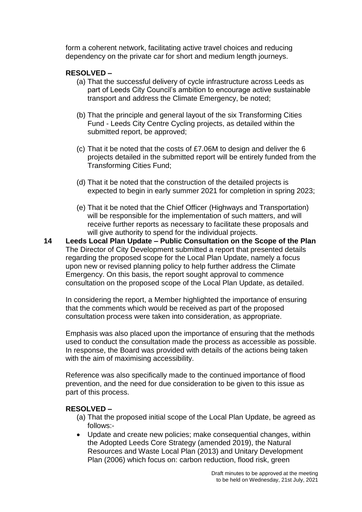form a coherent network, facilitating active travel choices and reducing dependency on the private car for short and medium length journeys.

# **RESOLVED –**

- (a) That the successful delivery of cycle infrastructure across Leeds as part of Leeds City Council's ambition to encourage active sustainable transport and address the Climate Emergency, be noted;
- (b) That the principle and general layout of the six Transforming Cities Fund - Leeds City Centre Cycling projects, as detailed within the submitted report, be approved;
- (c) That it be noted that the costs of £7.06M to design and deliver the 6 projects detailed in the submitted report will be entirely funded from the Transforming Cities Fund;
- (d) That it be noted that the construction of the detailed projects is expected to begin in early summer 2021 for completion in spring 2023;
- (e) That it be noted that the Chief Officer (Highways and Transportation) will be responsible for the implementation of such matters, and will receive further reports as necessary to facilitate these proposals and will give authority to spend for the individual projects.
- **14 Leeds Local Plan Update – Public Consultation on the Scope of the Plan** The Director of City Development submitted a report that presented details regarding the proposed scope for the Local Plan Update, namely a focus upon new or revised planning policy to help further address the Climate Emergency. On this basis, the report sought approval to commence consultation on the proposed scope of the Local Plan Update, as detailed.

In considering the report, a Member highlighted the importance of ensuring that the comments which would be received as part of the proposed consultation process were taken into consideration, as appropriate.

Emphasis was also placed upon the importance of ensuring that the methods used to conduct the consultation made the process as accessible as possible. In response, the Board was provided with details of the actions being taken with the aim of maximising accessibility.

Reference was also specifically made to the continued importance of flood prevention, and the need for due consideration to be given to this issue as part of this process.

- (a) That the proposed initial scope of the Local Plan Update, be agreed as follows:-
- Update and create new policies; make consequential changes, within the Adopted Leeds Core Strategy (amended 2019), the Natural Resources and Waste Local Plan (2013) and Unitary Development Plan (2006) which focus on: carbon reduction, flood risk, green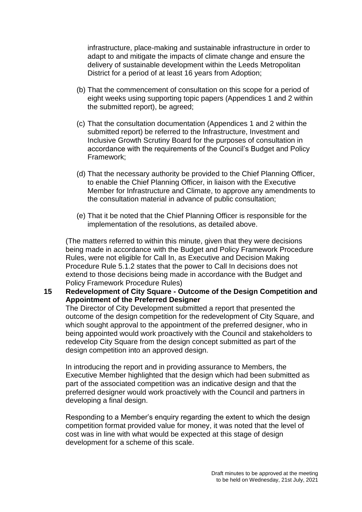infrastructure, place-making and sustainable infrastructure in order to adapt to and mitigate the impacts of climate change and ensure the delivery of sustainable development within the Leeds Metropolitan District for a period of at least 16 years from Adoption;

- (b) That the commencement of consultation on this scope for a period of eight weeks using supporting topic papers (Appendices 1 and 2 within the submitted report), be agreed;
- (c) That the consultation documentation (Appendices 1 and 2 within the submitted report) be referred to the Infrastructure, Investment and Inclusive Growth Scrutiny Board for the purposes of consultation in accordance with the requirements of the Council's Budget and Policy Framework;
- (d) That the necessary authority be provided to the Chief Planning Officer, to enable the Chief Planning Officer, in liaison with the Executive Member for Infrastructure and Climate, to approve any amendments to the consultation material in advance of public consultation;
- (e) That it be noted that the Chief Planning Officer is responsible for the implementation of the resolutions, as detailed above.

(The matters referred to within this minute, given that they were decisions being made in accordance with the Budget and Policy Framework Procedure Rules, were not eligible for Call In, as Executive and Decision Making Procedure Rule 5.1.2 states that the power to Call In decisions does not extend to those decisions being made in accordance with the Budget and Policy Framework Procedure Rules)

### **15 Redevelopment of City Square - Outcome of the Design Competition and Appointment of the Preferred Designer**

The Director of City Development submitted a report that presented the outcome of the design competition for the redevelopment of City Square, and which sought approval to the appointment of the preferred designer, who in being appointed would work proactively with the Council and stakeholders to redevelop City Square from the design concept submitted as part of the design competition into an approved design.

In introducing the report and in providing assurance to Members, the Executive Member highlighted that the design which had been submitted as part of the associated competition was an indicative design and that the preferred designer would work proactively with the Council and partners in developing a final design.

Responding to a Member's enquiry regarding the extent to which the design competition format provided value for money, it was noted that the level of cost was in line with what would be expected at this stage of design development for a scheme of this scale.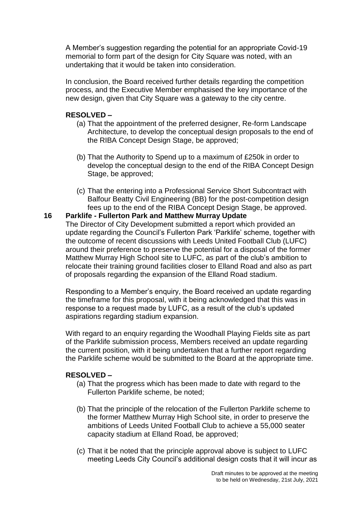A Member's suggestion regarding the potential for an appropriate Covid-19 memorial to form part of the design for City Square was noted, with an undertaking that it would be taken into consideration.

In conclusion, the Board received further details regarding the competition process, and the Executive Member emphasised the key importance of the new design, given that City Square was a gateway to the city centre.

### **RESOLVED –**

- (a) That the appointment of the preferred designer, Re-form Landscape Architecture, to develop the conceptual design proposals to the end of the RIBA Concept Design Stage, be approved;
- (b) That the Authority to Spend up to a maximum of £250k in order to develop the conceptual design to the end of the RIBA Concept Design Stage, be approved;
- (c) That the entering into a Professional Service Short Subcontract with Balfour Beatty Civil Engineering (BB) for the post-competition design fees up to the end of the RIBA Concept Design Stage, be approved.

#### **16 Parklife - Fullerton Park and Matthew Murray Update**

The Director of City Development submitted a report which provided an update regarding the Council's Fullerton Park 'Parklife' scheme, together with the outcome of recent discussions with Leeds United Football Club (LUFC) around their preference to preserve the potential for a disposal of the former Matthew Murray High School site to LUFC, as part of the club's ambition to relocate their training ground facilities closer to Elland Road and also as part of proposals regarding the expansion of the Elland Road stadium.

Responding to a Member's enquiry, the Board received an update regarding the timeframe for this proposal, with it being acknowledged that this was in response to a request made by LUFC, as a result of the club's updated aspirations regarding stadium expansion.

With regard to an enquiry regarding the Woodhall Playing Fields site as part of the Parklife submission process, Members received an update regarding the current position, with it being undertaken that a further report regarding the Parklife scheme would be submitted to the Board at the appropriate time.

- (a) That the progress which has been made to date with regard to the Fullerton Parklife scheme, be noted;
- (b) That the principle of the relocation of the Fullerton Parklife scheme to the former Matthew Murray High School site, in order to preserve the ambitions of Leeds United Football Club to achieve a 55,000 seater capacity stadium at Elland Road, be approved;
- (c) That it be noted that the principle approval above is subject to LUFC meeting Leeds City Council's additional design costs that it will incur as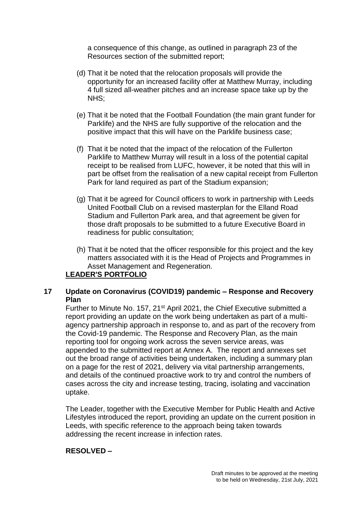a consequence of this change, as outlined in paragraph 23 of the Resources section of the submitted report;

- (d) That it be noted that the relocation proposals will provide the opportunity for an increased facility offer at Matthew Murray, including 4 full sized all-weather pitches and an increase space take up by the NHS;
- (e) That it be noted that the Football Foundation (the main grant funder for Parklife) and the NHS are fully supportive of the relocation and the positive impact that this will have on the Parklife business case;
- (f) That it be noted that the impact of the relocation of the Fullerton Parklife to Matthew Murray will result in a loss of the potential capital receipt to be realised from LUFC, however, it be noted that this will in part be offset from the realisation of a new capital receipt from Fullerton Park for land required as part of the Stadium expansion;
- (g) That it be agreed for Council officers to work in partnership with Leeds United Football Club on a revised masterplan for the Elland Road Stadium and Fullerton Park area, and that agreement be given for those draft proposals to be submitted to a future Executive Board in readiness for public consultation;
- (h) That it be noted that the officer responsible for this project and the key matters associated with it is the Head of Projects and Programmes in Asset Management and Regeneration.

# **LEADER'S PORTFOLIO**

# **17 Update on Coronavirus (COVID19) pandemic – Response and Recovery Plan**

Further to Minute No. 157, 21<sup>st</sup> April 2021, the Chief Executive submitted a report providing an update on the work being undertaken as part of a multiagency partnership approach in response to, and as part of the recovery from the Covid-19 pandemic. The Response and Recovery Plan, as the main reporting tool for ongoing work across the seven service areas, was appended to the submitted report at Annex A. The report and annexes set out the broad range of activities being undertaken, including a summary plan on a page for the rest of 2021, delivery via vital partnership arrangements, and details of the continued proactive work to try and control the numbers of cases across the city and increase testing, tracing, isolating and vaccination uptake.

The Leader, together with the Executive Member for Public Health and Active Lifestyles introduced the report, providing an update on the current position in Leeds, with specific reference to the approach being taken towards addressing the recent increase in infection rates.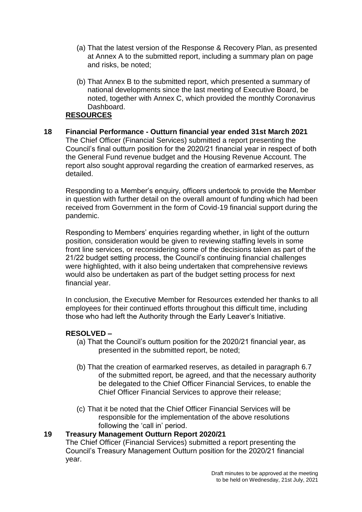- (a) That the latest version of the Response & Recovery Plan, as presented at Annex A to the submitted report, including a summary plan on page and risks, be noted;
- (b) That Annex B to the submitted report, which presented a summary of national developments since the last meeting of Executive Board, be noted, together with Annex C, which provided the monthly Coronavirus Dashboard.

# **RESOURCES**

**18 Financial Performance - Outturn financial year ended 31st March 2021** The Chief Officer (Financial Services) submitted a report presenting the Council's final outturn position for the 2020/21 financial year in respect of both the General Fund revenue budget and the Housing Revenue Account. The report also sought approval regarding the creation of earmarked reserves, as detailed.

Responding to a Member's enquiry, officers undertook to provide the Member in question with further detail on the overall amount of funding which had been received from Government in the form of Covid-19 financial support during the pandemic.

Responding to Members' enquiries regarding whether, in light of the outturn position, consideration would be given to reviewing staffing levels in some front line services, or reconsidering some of the decisions taken as part of the 21/22 budget setting process, the Council's continuing financial challenges were highlighted, with it also being undertaken that comprehensive reviews would also be undertaken as part of the budget setting process for next financial year.

In conclusion, the Executive Member for Resources extended her thanks to all employees for their continued efforts throughout this difficult time, including those who had left the Authority through the Early Leaver's Initiative.

### **RESOLVED –**

- (a) That the Council's outturn position for the 2020/21 financial year, as presented in the submitted report, be noted;
- (b) That the creation of earmarked reserves, as detailed in paragraph 6.7 of the submitted report, be agreed, and that the necessary authority be delegated to the Chief Officer Financial Services, to enable the Chief Officer Financial Services to approve their release;
- (c) That it be noted that the Chief Officer Financial Services will be responsible for the implementation of the above resolutions following the 'call in' period.

## **19 Treasury Management Outturn Report 2020/21**

The Chief Officer (Financial Services) submitted a report presenting the Council's Treasury Management Outturn position for the 2020/21 financial year.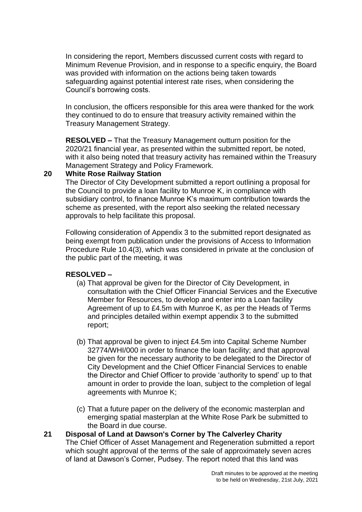In considering the report, Members discussed current costs with regard to Minimum Revenue Provision, and in response to a specific enquiry, the Board was provided with information on the actions being taken towards safeguarding against potential interest rate rises, when considering the Council's borrowing costs.

In conclusion, the officers responsible for this area were thanked for the work they continued to do to ensure that treasury activity remained within the Treasury Management Strategy.

**RESOLVED –** That the Treasury Management outturn position for the 2020/21 financial year, as presented within the submitted report, be noted, with it also being noted that treasury activity has remained within the Treasury Management Strategy and Policy Framework.

#### **20 White Rose Railway Station**

The Director of City Development submitted a report outlining a proposal for the Council to provide a loan facility to Munroe K, in compliance with subsidiary control, to finance Munroe K's maximum contribution towards the scheme as presented, with the report also seeking the related necessary approvals to help facilitate this proposal.

Following consideration of Appendix 3 to the submitted report designated as being exempt from publication under the provisions of Access to Information Procedure Rule 10.4(3), which was considered in private at the conclusion of the public part of the meeting, it was

### **RESOLVED –**

- (a) That approval be given for the Director of City Development, in consultation with the Chief Officer Financial Services and the Executive Member for Resources, to develop and enter into a Loan facility Agreement of up to £4.5m with Munroe K, as per the Heads of Terms and principles detailed within exempt appendix 3 to the submitted report;
- (b) That approval be given to inject £4.5m into Capital Scheme Number 32774/WHI/000 in order to finance the loan facility; and that approval be given for the necessary authority to be delegated to the Director of City Development and the Chief Officer Financial Services to enable the Director and Chief Officer to provide 'authority to spend' up to that amount in order to provide the loan, subject to the completion of legal agreements with Munroe K;
- (c) That a future paper on the delivery of the economic masterplan and emerging spatial masterplan at the White Rose Park be submitted to the Board in due course.

### **21 Disposal of Land at Dawson's Corner by The Calverley Charity** The Chief Officer of Asset Management and Regeneration submitted a report which sought approval of the terms of the sale of approximately seven acres of land at Dawson's Corner, Pudsey. The report noted that this land was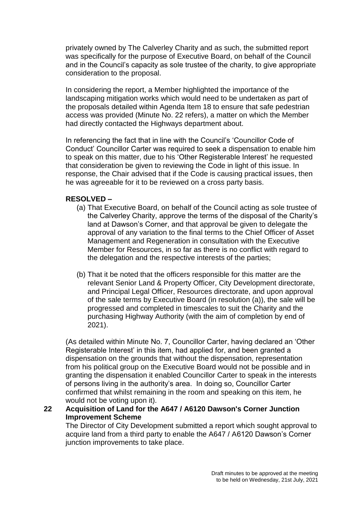privately owned by The Calverley Charity and as such, the submitted report was specifically for the purpose of Executive Board, on behalf of the Council and in the Council's capacity as sole trustee of the charity, to give appropriate consideration to the proposal.

In considering the report, a Member highlighted the importance of the landscaping mitigation works which would need to be undertaken as part of the proposals detailed within Agenda Item 18 to ensure that safe pedestrian access was provided (Minute No. 22 refers), a matter on which the Member had directly contacted the Highways department about.

In referencing the fact that in line with the Council's 'Councillor Code of Conduct' Councillor Carter was required to seek a dispensation to enable him to speak on this matter, due to his 'Other Registerable Interest' he requested that consideration be given to reviewing the Code in light of this issue. In response, the Chair advised that if the Code is causing practical issues, then he was agreeable for it to be reviewed on a cross party basis.

# **RESOLVED –**

- (a) That Executive Board, on behalf of the Council acting as sole trustee of the Calverley Charity, approve the terms of the disposal of the Charity's land at Dawson's Corner, and that approval be given to delegate the approval of any variation to the final terms to the Chief Officer of Asset Management and Regeneration in consultation with the Executive Member for Resources, in so far as there is no conflict with regard to the delegation and the respective interests of the parties;
- (b) That it be noted that the officers responsible for this matter are the relevant Senior Land & Property Officer, City Development directorate, and Principal Legal Officer, Resources directorate, and upon approval of the sale terms by Executive Board (in resolution (a)), the sale will be progressed and completed in timescales to suit the Charity and the purchasing Highway Authority (with the aim of completion by end of 2021).

(As detailed within Minute No. 7, Councillor Carter, having declared an 'Other Registerable Interest' in this item, had applied for, and been granted a dispensation on the grounds that without the dispensation, representation from his political group on the Executive Board would not be possible and in granting the dispensation it enabled Councillor Carter to speak in the interests of persons living in the authority's area. In doing so, Councillor Carter confirmed that whilst remaining in the room and speaking on this item, he would not be voting upon it).

**22 Acquisition of Land for the A647 / A6120 Dawson's Corner Junction Improvement Scheme**

The Director of City Development submitted a report which sought approval to acquire land from a third party to enable the A647 / A6120 Dawson's Corner junction improvements to take place.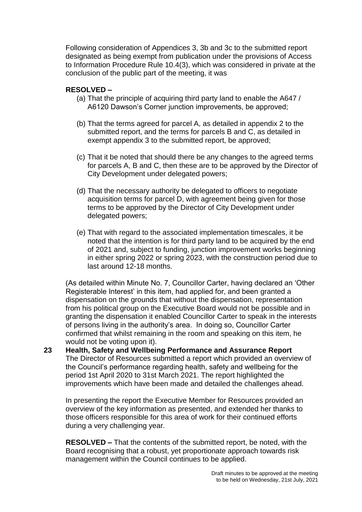Following consideration of Appendices 3, 3b and 3c to the submitted report designated as being exempt from publication under the provisions of Access to Information Procedure Rule 10.4(3), which was considered in private at the conclusion of the public part of the meeting, it was

# **RESOLVED –**

- (a) That the principle of acquiring third party land to enable the A647 / A6120 Dawson's Corner junction improvements, be approved;
- (b) That the terms agreed for parcel A, as detailed in appendix 2 to the submitted report, and the terms for parcels B and C, as detailed in exempt appendix 3 to the submitted report, be approved;
- (c) That it be noted that should there be any changes to the agreed terms for parcels A, B and C, then these are to be approved by the Director of City Development under delegated powers;
- (d) That the necessary authority be delegated to officers to negotiate acquisition terms for parcel D, with agreement being given for those terms to be approved by the Director of City Development under delegated powers;
- (e) That with regard to the associated implementation timescales, it be noted that the intention is for third party land to be acquired by the end of 2021 and, subject to funding, junction improvement works beginning in either spring 2022 or spring 2023, with the construction period due to last around 12-18 months.

(As detailed within Minute No. 7, Councillor Carter, having declared an 'Other Registerable Interest' in this item, had applied for, and been granted a dispensation on the grounds that without the dispensation, representation from his political group on the Executive Board would not be possible and in granting the dispensation it enabled Councillor Carter to speak in the interests of persons living in the authority's area. In doing so, Councillor Carter confirmed that whilst remaining in the room and speaking on this item, he would not be voting upon it).

**23 Health, Safety and Wellbeing Performance and Assurance Report** The Director of Resources submitted a report which provided an overview of the Council's performance regarding health, safety and wellbeing for the period 1st April 2020 to 31st March 2021. The report highlighted the improvements which have been made and detailed the challenges ahead.

In presenting the report the Executive Member for Resources provided an overview of the key information as presented, and extended her thanks to those officers responsible for this area of work for their continued efforts during a very challenging year.

**RESOLVED –** That the contents of the submitted report, be noted, with the Board recognising that a robust, yet proportionate approach towards risk management within the Council continues to be applied.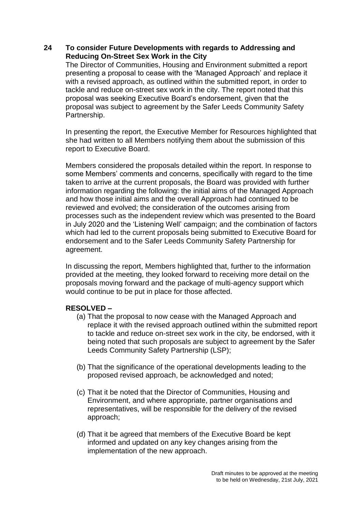# **24 To consider Future Developments with regards to Addressing and Reducing On-Street Sex Work in the City**

The Director of Communities, Housing and Environment submitted a report presenting a proposal to cease with the 'Managed Approach' and replace it with a revised approach, as outlined within the submitted report, in order to tackle and reduce on-street sex work in the city. The report noted that this proposal was seeking Executive Board's endorsement, given that the proposal was subject to agreement by the Safer Leeds Community Safety Partnership.

In presenting the report, the Executive Member for Resources highlighted that she had written to all Members notifying them about the submission of this report to Executive Board.

Members considered the proposals detailed within the report. In response to some Members' comments and concerns, specifically with regard to the time taken to arrive at the current proposals, the Board was provided with further information regarding the following: the initial aims of the Managed Approach and how those initial aims and the overall Approach had continued to be reviewed and evolved; the consideration of the outcomes arising from processes such as the independent review which was presented to the Board in July 2020 and the 'Listening Well' campaign; and the combination of factors which had led to the current proposals being submitted to Executive Board for endorsement and to the Safer Leeds Community Safety Partnership for agreement.

In discussing the report, Members highlighted that, further to the information provided at the meeting, they looked forward to receiving more detail on the proposals moving forward and the package of multi-agency support which would continue to be put in place for those affected.

- (a) That the proposal to now cease with the Managed Approach and replace it with the revised approach outlined within the submitted report to tackle and reduce on-street sex work in the city, be endorsed, with it being noted that such proposals are subject to agreement by the Safer Leeds Community Safety Partnership (LSP);
- (b) That the significance of the operational developments leading to the proposed revised approach, be acknowledged and noted;
- (c) That it be noted that the Director of Communities, Housing and Environment, and where appropriate, partner organisations and representatives, will be responsible for the delivery of the revised approach;
- (d) That it be agreed that members of the Executive Board be kept informed and updated on any key changes arising from the implementation of the new approach.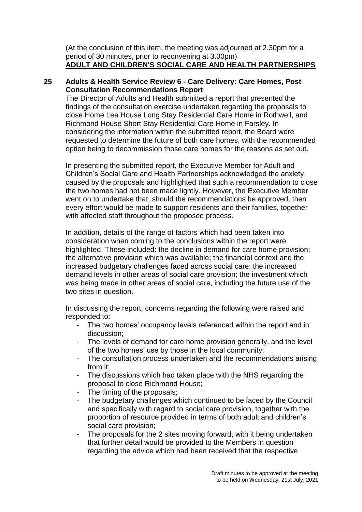(At the conclusion of this item, the meeting was adjourned at 2.30pm for a period of 30 minutes, prior to reconvening at 3.00pm) **ADULT AND CHILDREN'S SOCIAL CARE AND HEALTH PARTNERSHIPS**

# **25 Adults & Health Service Review 6 - Care Delivery: Care Homes, Post Consultation Recommendations Report**

The Director of Adults and Health submitted a report that presented the findings of the consultation exercise undertaken regarding the proposals to close Home Lea House Long Stay Residential Care Home in Rothwell, and Richmond House Short Stay Residential Care Home in Farsley. In considering the information within the submitted report, the Board were requested to determine the future of both care homes, with the recommended option being to decommission those care homes for the reasons as set out.

In presenting the submitted report, the Executive Member for Adult and Children's Social Care and Health Partnerships acknowledged the anxiety caused by the proposals and highlighted that such a recommendation to close the two homes had not been made lightly. However, the Executive Member went on to undertake that, should the recommendations be approved, then every effort would be made to support residents and their families, together with affected staff throughout the proposed process.

In addition, details of the range of factors which had been taken into consideration when coming to the conclusions within the report were highlighted. These included: the decline in demand for care home provision; the alternative provision which was available; the financial context and the increased budgetary challenges faced across social care; the increased demand levels in other areas of social care provision; the investment which was being made in other areas of social care, including the future use of the two sites in question.

In discussing the report, concerns regarding the following were raised and responded to:

- The two homes' occupancy levels referenced within the report and in discussion;
- The levels of demand for care home provision generally, and the level of the two homes' use by those in the local community;
- The consultation process undertaken and the recommendations arising from it;
- The discussions which had taken place with the NHS regarding the proposal to close Richmond House;
- The timing of the proposals;
- The budgetary challenges which continued to be faced by the Council and specifically with regard to social care provision, together with the proportion of resource provided in terms of both adult and children's social care provision;
- The proposals for the 2 sites moving forward, with it being undertaken that further detail would be provided to the Members in question regarding the advice which had been received that the respective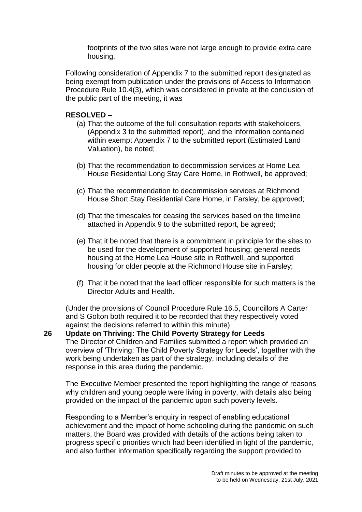footprints of the two sites were not large enough to provide extra care housing.

Following consideration of Appendix 7 to the submitted report designated as being exempt from publication under the provisions of Access to Information Procedure Rule 10.4(3), which was considered in private at the conclusion of the public part of the meeting, it was

### **RESOLVED –**

- (a) That the outcome of the full consultation reports with stakeholders, (Appendix 3 to the submitted report), and the information contained within exempt Appendix 7 to the submitted report (Estimated Land Valuation), be noted;
- (b) That the recommendation to decommission services at Home Lea House Residential Long Stay Care Home, in Rothwell, be approved;
- (c) That the recommendation to decommission services at Richmond House Short Stay Residential Care Home, in Farsley, be approved;
- (d) That the timescales for ceasing the services based on the timeline attached in Appendix 9 to the submitted report, be agreed;
- (e) That it be noted that there is a commitment in principle for the sites to be used for the development of supported housing; general needs housing at the Home Lea House site in Rothwell, and supported housing for older people at the Richmond House site in Farsley;
- (f) That it be noted that the lead officer responsible for such matters is the Director Adults and Health.

(Under the provisions of Council Procedure Rule 16.5, Councillors A Carter and S Golton both required it to be recorded that they respectively voted against the decisions referred to within this minute)

**26 Update on Thriving: The Child Poverty Strategy for Leeds** The Director of Children and Families submitted a report which provided an overview of 'Thriving: The Child Poverty Strategy for Leeds', together with the work being undertaken as part of the strategy, including details of the response in this area during the pandemic.

The Executive Member presented the report highlighting the range of reasons why children and young people were living in poverty, with details also being provided on the impact of the pandemic upon such poverty levels.

Responding to a Member's enquiry in respect of enabling educational achievement and the impact of home schooling during the pandemic on such matters, the Board was provided with details of the actions being taken to progress specific priorities which had been identified in light of the pandemic, and also further information specifically regarding the support provided to